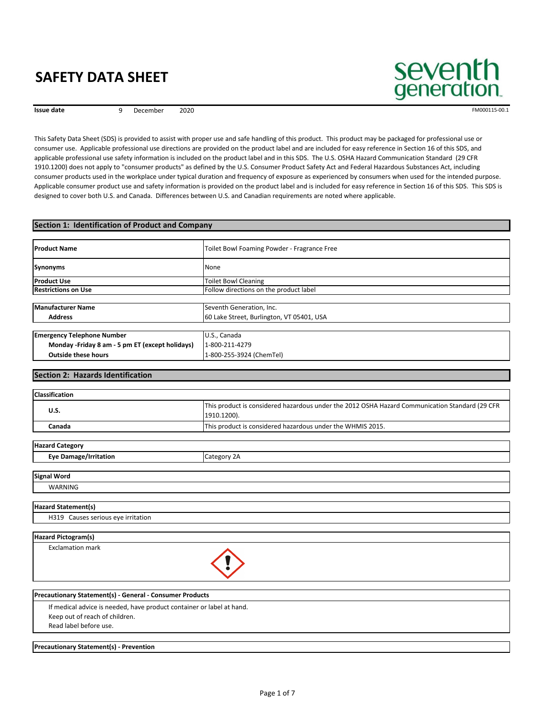**Issue date 1880 Proposed By December 2020 FM000115-00.1 FM000115-00.1** 

seventh generation

 This Safety Data Sheet (SDS) is provided to assist with proper use and safe handling of this product. This product may be packaged for professional use or consumer use. Applicable professional use directions are provided on the product label and are included for easy reference in Section 16 of this SDS, and applicable professional use safety information is included on the product label and in this SDS. The U.S. OSHA Hazard Communication Standard (29 CFR 1910.1200) does not apply to "consumer products" as defined by the U.S. Consumer Product Safety Act and Federal Hazardous Substances Act, including consumer products used in the workplace under typical duration and frequency of exposure as experienced by consumers when used for the intended purpose. Applicable consumer product use and safety information is provided on the product label and is included for easy reference in Section 16 of this SDS. This SDS is designed to cover both U.S. and Canada. Differences between U.S. and Canadian requirements are noted where applicable.

## **Outside these hours Monday ‐Friday 8 am ‐ 5 pm ET (except holidays)** 1‐800‐211‐4279 **Emergency Telephone Number Letter Controller and Australian U.S., Canada Address** 60 Lake Street, Burlington, VT 05401, USA **Manufacturer Name Name** Seventh Generation, Inc. **Restrictions on Use Exercise 2 Constructs** Follow directions on the product label **Product Use** Toilet Bowl Cleaning **Product Name** Toilet Bowl Foaming Powder - Fragrance Free  **Section 1: Identification of Product and Company Synonyms** None **Outside these hours** 1‐800‐255‐3924 (ChemTel)

## **Section 2: Hazards Identification**

| <b>Classification</b>                                                                      |                                                                                                               |
|--------------------------------------------------------------------------------------------|---------------------------------------------------------------------------------------------------------------|
| <b>U.S.</b>                                                                                | This product is considered hazardous under the 2012 OSHA Hazard Communication Standard (29 CFR<br>1910.1200). |
| Canada                                                                                     | This product is considered hazardous under the WHMIS 2015.                                                    |
|                                                                                            |                                                                                                               |
| <b>Hazard Category</b>                                                                     |                                                                                                               |
| <b>Eye Damage/Irritation</b>                                                               | Category 2A                                                                                                   |
| <b>Signal Word</b>                                                                         |                                                                                                               |
| <b>WARNING</b>                                                                             |                                                                                                               |
| <b>Hazard Statement(s)</b>                                                                 |                                                                                                               |
| H319 Causes serious eye irritation                                                         |                                                                                                               |
| <b>Hazard Pictogram(s)</b>                                                                 |                                                                                                               |
| <b>Exclamation mark</b>                                                                    |                                                                                                               |
|                                                                                            |                                                                                                               |
|                                                                                            |                                                                                                               |
| If medical advice is needed, have product container or label at hand.                      |                                                                                                               |
| Precautionary Statement(s) - General - Consumer Products<br>Keep out of reach of children. |                                                                                                               |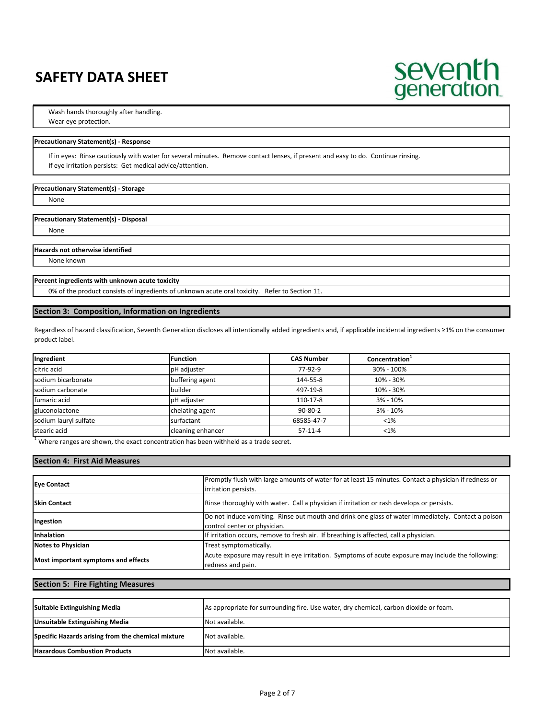

Wash hands thoroughly after handling.

Wear eye protection.

#### **Precautionary Statement(s) ‐ Response**

 If in eyes: Rinse cautiously with water for several minutes. Remove contact lenses, if present and easy to do. Continue rinsing. If eye irritation persists: Get medical advice/attention.

#### **Precautionary Statement(s) ‐ Storage**

None

#### **Precautionary Statement(s) ‐ Disposal**

None

## **Hazards not otherwise identified**

None known

#### **Percent ingredients with unknown acute toxicity**

0% of the product consists of ingredients of unknown acute oral toxicity. Refer to Section 11.

## **Section 3: Composition, Information on Ingredients**

 Regardless of hazard classification, Seventh Generation discloses all intentionally added ingredients and, if applicable incidental ingredients ≥1% on the consumer product label.

| Ingredient            | <b>Function</b>   | <b>CAS Number</b> | Concentration <sup>1</sup> |
|-----------------------|-------------------|-------------------|----------------------------|
| citric acid           | pH adjuster       | 77-92-9           | 30% - 100%                 |
| sodium bicarbonate    | buffering agent   | 144-55-8          | 10% - 30%                  |
| sodium carbonate      | builder           | 497-19-8          | 10% - 30%                  |
| fumaric acid          | pH adjuster       | 110-17-8          | $3\% - 10\%$               |
| gluconolactone        | chelating agent   | $90 - 80 - 2$     | $3\% - 10\%$               |
| sodium lauryl sulfate | surfactant        | 68585-47-7        | $< 1\%$                    |
| stearic acid          | cleaning enhancer | $57-11-4$         | $< 1\%$                    |

 $1$  Where ranges are shown, the exact concentration has been withheld as a trade secret.

## **Section 4: First Aid Measures**

| <b>Eve Contact</b>                  | Promptly flush with large amounts of water for at least 15 minutes. Contact a physician if redness or<br>irritation persists.      |  |
|-------------------------------------|------------------------------------------------------------------------------------------------------------------------------------|--|
| <b>Skin Contact</b>                 | Rinse thoroughly with water. Call a physician if irritation or rash develops or persists.                                          |  |
| Ingestion                           | Do not induce vomiting. Rinse out mouth and drink one glass of water immediately. Contact a poison<br>control center or physician. |  |
| Inhalation                          | If irritation occurs, remove to fresh air. If breathing is affected, call a physician.                                             |  |
| <b>Notes to Physician</b>           | Treat symptomatically.                                                                                                             |  |
| Most important symptoms and effects | Acute exposure may result in eye irritation. Symptoms of acute exposure may include the following:<br>redness and pain.            |  |

## **Section 5: Fire Fighting Measures**

| Suitable Extinguishing Media                       | As appropriate for surrounding fire. Use water, dry chemical, carbon dioxide or foam. |
|----------------------------------------------------|---------------------------------------------------------------------------------------|
| <b>Unsuitable Extinguishing Media</b>              | Not available.                                                                        |
| Specific Hazards arising from the chemical mixture | Not available.                                                                        |
| <b>Hazardous Combustion Products</b>               | Not available.                                                                        |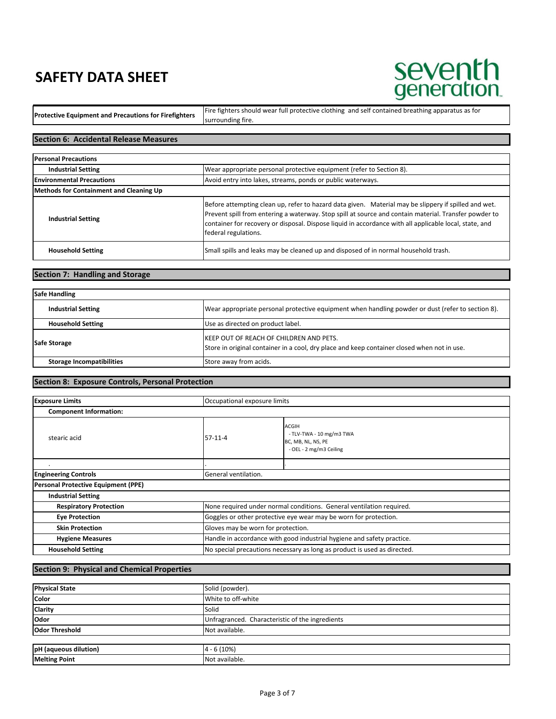## seventh<br>generation.

Fire fighters should wear full protective clothing and self contained breathing apparatus as for<br>Protective Equipment and Precautions for Firefighters surrounding fire.

## **Section 6: Accidental Release Measures**

| <b>Personal Precautions</b>             |                                                                                                                                                                                                                                                                                                                                                 |  |
|-----------------------------------------|-------------------------------------------------------------------------------------------------------------------------------------------------------------------------------------------------------------------------------------------------------------------------------------------------------------------------------------------------|--|
| <b>Industrial Setting</b>               | Wear appropriate personal protective equipment (refer to Section 8).                                                                                                                                                                                                                                                                            |  |
| <b>Environmental Precautions</b>        | Avoid entry into lakes, streams, ponds or public waterways.                                                                                                                                                                                                                                                                                     |  |
| Methods for Containment and Cleaning Up |                                                                                                                                                                                                                                                                                                                                                 |  |
| <b>Industrial Setting</b>               | Before attempting clean up, refer to hazard data given. Material may be slippery if spilled and wet.<br>Prevent spill from entering a waterway. Stop spill at source and contain material. Transfer powder to<br>container for recovery or disposal. Dispose liquid in accordance with all applicable local, state, and<br>federal regulations. |  |
| <b>Household Setting</b>                | Small spills and leaks may be cleaned up and disposed of in normal household trash.                                                                                                                                                                                                                                                             |  |

## **Section 7: Handling and Storage**

| <b>Safe Handling</b>             |                                                                                                                                        |  |
|----------------------------------|----------------------------------------------------------------------------------------------------------------------------------------|--|
| <b>Industrial Setting</b>        | Wear appropriate personal protective equipment when handling powder or dust (refer to section 8).                                      |  |
| <b>Household Setting</b>         | Use as directed on product label.                                                                                                      |  |
| <b>Safe Storage</b>              | KEEP OUT OF REACH OF CHILDREN AND PETS.<br>Store in original container in a cool, dry place and keep container closed when not in use. |  |
| <b>Storage Incompatibilities</b> | Store away from acids.                                                                                                                 |  |

### **Section 8: Exposure Controls, Personal Protection**

| <b>Exposure Limits</b>              | Occupational exposure limits                                             |                                                                                           |
|-------------------------------------|--------------------------------------------------------------------------|-------------------------------------------------------------------------------------------|
| <b>Component Information:</b>       |                                                                          |                                                                                           |
| stearic acid                        | $57-11-4$                                                                | <b>ACGIH</b><br>- TLV-TWA - 10 mg/m3 TWA<br>BC, MB, NL, NS, PE<br>- OEL - 2 mg/m3 Ceiling |
|                                     |                                                                          |                                                                                           |
| <b>Engineering Controls</b>         | General ventilation.                                                     |                                                                                           |
| Personal Protective Equipment (PPE) |                                                                          |                                                                                           |
| <b>Industrial Setting</b>           |                                                                          |                                                                                           |
| <b>Respiratory Protection</b>       | None required under normal conditions. General ventilation required.     |                                                                                           |
| <b>Eye Protection</b>               | Goggles or other protective eye wear may be worn for protection.         |                                                                                           |
| <b>Skin Protection</b>              | Gloves may be worn for protection.                                       |                                                                                           |
| <b>Hygiene Measures</b>             | Handle in accordance with good industrial hygiene and safety practice.   |                                                                                           |
| <b>Household Setting</b>            | No special precautions necessary as long as product is used as directed. |                                                                                           |

#### **Section 9: Physical and Chemical Properties**

| <b>Physical State</b> | Solid (powder).                                 |  |
|-----------------------|-------------------------------------------------|--|
| Color                 | White to off-white                              |  |
| Clarity               | Solid                                           |  |
| <b>Odor</b>           | Unfragranced. Characteristic of the ingredients |  |
| <b>Odor Threshold</b> | Not available.                                  |  |
|                       |                                                 |  |
| pH (aqueous dilution) | $4 - 6(10%)$                                    |  |
| <b>Melting Point</b>  | Not available.                                  |  |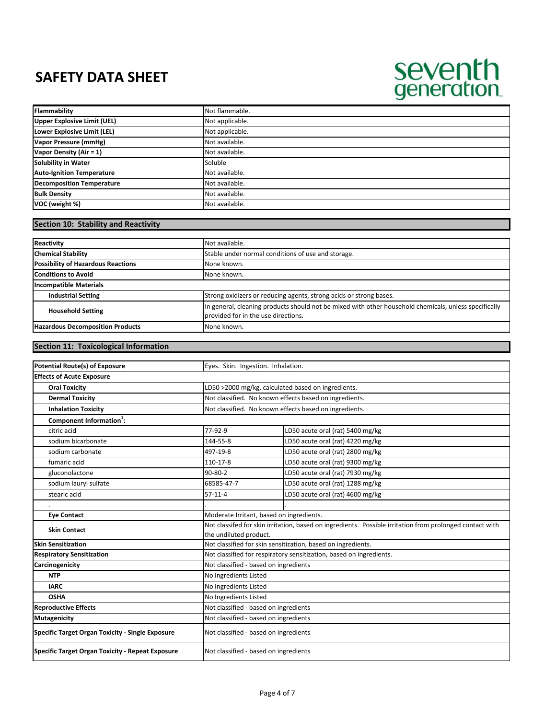# seventh<br>generation.

| Flammability                     | Not flammable.  |
|----------------------------------|-----------------|
| Upper Explosive Limit (UEL)      | Not applicable. |
| Lower Explosive Limit (LEL)      | Not applicable. |
| Vapor Pressure (mmHg)            | Not available.  |
| Vapor Density (Air = 1)          | Not available.  |
| Solubility in Water              | Soluble         |
| <b>Auto-Ignition Temperature</b> | Not available.  |
| <b>Decomposition Temperature</b> | Not available.  |
| <b>Bulk Density</b>              | Not available.  |
| VOC (weight %)                   | Not available.  |

## **Section 10: Stability and Reactivity**

| <b>Reactivity</b>                         | Not available.                                                                                                                               |  |
|-------------------------------------------|----------------------------------------------------------------------------------------------------------------------------------------------|--|
| <b>Chemical Stability</b>                 | Stable under normal conditions of use and storage.                                                                                           |  |
| <b>Possibility of Hazardous Reactions</b> | None known.                                                                                                                                  |  |
| <b>Conditions to Avoid</b>                | None known.                                                                                                                                  |  |
| <b>Incompatible Materials</b>             |                                                                                                                                              |  |
| <b>Industrial Setting</b>                 | Strong oxidizers or reducing agents, strong acids or strong bases.                                                                           |  |
| <b>Household Setting</b>                  | In general, cleaning products should not be mixed with other household chemicals, unless specifically<br>provided for in the use directions. |  |
| <b>Hazardous Decomposition Products</b>   | None known.                                                                                                                                  |  |

## **Section 11: Toxicological Information**

| <b>Potential Route(s) of Exposure</b>                   | Eyes. Skin. Ingestion. Inhalation.                                                                       |                                  |  |
|---------------------------------------------------------|----------------------------------------------------------------------------------------------------------|----------------------------------|--|
| <b>Effects of Acute Exposure</b>                        |                                                                                                          |                                  |  |
| <b>Oral Toxicity</b>                                    | LD50 >2000 mg/kg, calculated based on ingredients.                                                       |                                  |  |
| <b>Dermal Toxicity</b>                                  | Not classified. No known effects based on ingredients.                                                   |                                  |  |
| <b>Inhalation Toxicity</b>                              | Not classified. No known effects based on ingredients.                                                   |                                  |  |
| Component Information <sup>1</sup> :                    |                                                                                                          |                                  |  |
| citric acid                                             | 77-92-9                                                                                                  | LD50 acute oral (rat) 5400 mg/kg |  |
| sodium bicarbonate                                      | 144-55-8                                                                                                 | LD50 acute oral (rat) 4220 mg/kg |  |
| sodium carbonate                                        | 497-19-8                                                                                                 | LD50 acute oral (rat) 2800 mg/kg |  |
| fumaric acid                                            | 110-17-8                                                                                                 | LD50 acute oral (rat) 9300 mg/kg |  |
| gluconolactone                                          | $90 - 80 - 2$                                                                                            | LD50 acute oral (rat) 7930 mg/kg |  |
| sodium lauryl sulfate                                   | 68585-47-7                                                                                               | LD50 acute oral (rat) 1288 mg/kg |  |
| stearic acid                                            | $57 - 11 - 4$                                                                                            | LD50 acute oral (rat) 4600 mg/kg |  |
|                                                         |                                                                                                          |                                  |  |
| <b>Eye Contact</b>                                      | Moderate Irritant, based on ingredients.                                                                 |                                  |  |
| <b>Skin Contact</b>                                     | Not classifed for skin irritation, based on ingredients. Possible irritation from prolonged contact with |                                  |  |
|                                                         | the undiluted product.                                                                                   |                                  |  |
| <b>Skin Sensitization</b>                               | Not classified for skin sensitization, based on ingredients.                                             |                                  |  |
| <b>Respiratory Sensitization</b>                        | Not classified for respiratory sensitization, based on ingredients.                                      |                                  |  |
| Carcinogenicity                                         | Not classified - based on ingredients                                                                    |                                  |  |
| <b>NTP</b>                                              | No Ingredients Listed                                                                                    |                                  |  |
| <b>IARC</b>                                             | No Ingredients Listed                                                                                    |                                  |  |
| <b>OSHA</b>                                             | No Ingredients Listed                                                                                    |                                  |  |
| <b>Reproductive Effects</b>                             | Not classified - based on ingredients                                                                    |                                  |  |
| <b>Mutagenicity</b>                                     | Not classified - based on ingredients                                                                    |                                  |  |
| Specific Target Organ Toxicity - Single Exposure        | Not classified - based on ingredients                                                                    |                                  |  |
| <b>Specific Target Organ Toxicity - Repeat Exposure</b> | Not classified - based on ingredients                                                                    |                                  |  |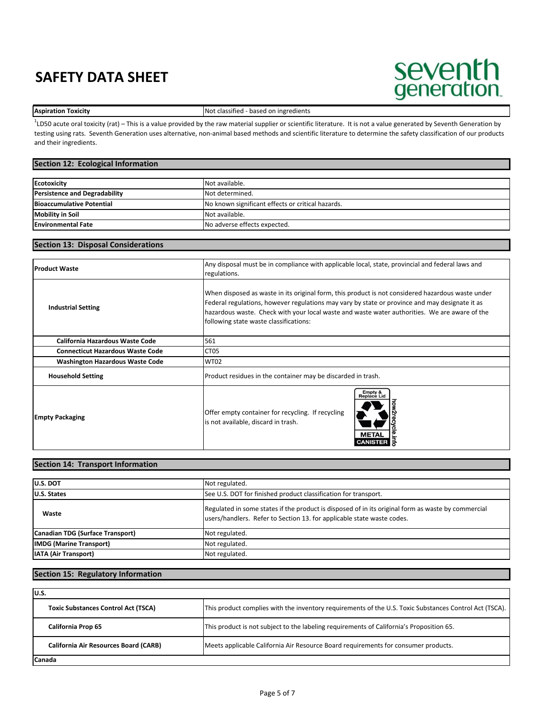## seventh<br>generation.

**Aspiration Toxicity Not classified** - based on ingredients

<sup>1</sup>LD50 acute oral toxicity (rat) – This is a value provided by the raw material supplier or scientific literature. It is not a value generated by Seventh Generation by testing using rats. Seventh Generation uses alternative, non‐animal based methods and scientific literature to determine the safety classification of our products and their ingredients.

## **Section 12: Ecological Information**

| <b>Ecotoxicity</b>                   | Not available.                                    |
|--------------------------------------|---------------------------------------------------|
| <b>Persistence and Degradability</b> | Not determined.                                   |
| <b>Bioaccumulative Potential</b>     | No known significant effects or critical hazards. |
| <b>Mobility in Soil</b>              | Not available.                                    |
| <b>Environmental Fate</b>            | No adverse effects expected.                      |

## **Section 13: Disposal Considerations**

| <b>Product Waste</b>                    | Any disposal must be in compliance with applicable local, state, provincial and federal laws and<br>regulations.                                                                                                                                                                                                                               |
|-----------------------------------------|------------------------------------------------------------------------------------------------------------------------------------------------------------------------------------------------------------------------------------------------------------------------------------------------------------------------------------------------|
| <b>Industrial Setting</b>               | When disposed as waste in its original form, this product is not considered hazardous waste under<br>Federal regulations, however regulations may vary by state or province and may designate it as<br>hazardous waste. Check with your local waste and waste water authorities. We are aware of the<br>following state waste classifications: |
| <b>California Hazardous Waste Code</b>  | 561                                                                                                                                                                                                                                                                                                                                            |
| <b>Connecticut Hazardous Waste Code</b> | CT05                                                                                                                                                                                                                                                                                                                                           |
| <b>Washington Hazardous Waste Code</b>  | <b>WT02</b>                                                                                                                                                                                                                                                                                                                                    |
| <b>Household Setting</b>                | Product residues in the container may be discarded in trash.                                                                                                                                                                                                                                                                                   |
| <b>Empty Packaging</b>                  | Empty &<br>Replace Lid<br>Offer empty container for recycling. If recycling<br>is not available, discard in trash.<br><b>META</b><br><b>CANIST</b>                                                                                                                                                                                             |

## **Section 14: Transport Information**

| <b>U.S. DOT</b>                  | Not regulated.                                                                                                                                                               |
|----------------------------------|------------------------------------------------------------------------------------------------------------------------------------------------------------------------------|
| <b>U.S. States</b>               | See U.S. DOT for finished product classification for transport.                                                                                                              |
| Waste                            | Regulated in some states if the product is disposed of in its original form as waste by commercial<br>users/handlers. Refer to Section 13. for applicable state waste codes. |
| Canadian TDG (Surface Transport) | Not regulated.                                                                                                                                                               |
| <b>IMDG (Marine Transport)</b>   | Not regulated.                                                                                                                                                               |
| <b>IATA (Air Transport)</b>      | Not regulated.                                                                                                                                                               |

### **Section 15: Regulatory Information**

| lu.s.                                        |                                                                                                        |
|----------------------------------------------|--------------------------------------------------------------------------------------------------------|
| <b>Toxic Substances Control Act (TSCA)</b>   | This product complies with the inventory requirements of the U.S. Toxic Substances Control Act (TSCA). |
| California Prop 65                           | This product is not subject to the labeling requirements of California's Proposition 65.               |
| <b>California Air Resources Board (CARB)</b> | Meets applicable California Air Resource Board requirements for consumer products.                     |
| Canada                                       |                                                                                                        |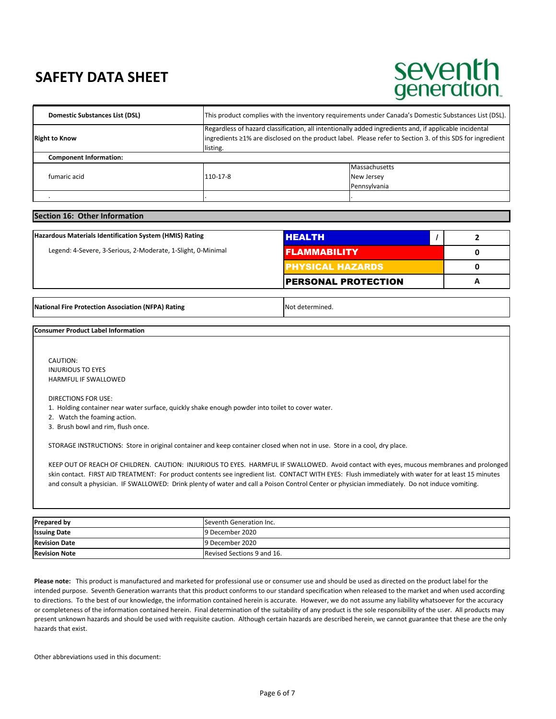## seventh generation.

| Domestic Substances List (DSL) | This product complies with the inventory requirements under Canada's Domestic Substances List (DSL).                                                                                                                            |               |
|--------------------------------|---------------------------------------------------------------------------------------------------------------------------------------------------------------------------------------------------------------------------------|---------------|
| <b>Right to Know</b>           | Regardless of hazard classification, all intentionally added ingredients and, if applicable incidental<br>ingredients ≥1% are disclosed on the product label. Please refer to Section 3. of this SDS for ingredient<br>listing. |               |
| <b>Component Information:</b>  |                                                                                                                                                                                                                                 |               |
| fumaric acid                   | 110-17-8                                                                                                                                                                                                                        | Massachusetts |
|                                |                                                                                                                                                                                                                                 | New Jersey    |
|                                |                                                                                                                                                                                                                                 | Pennsylvania  |
|                                |                                                                                                                                                                                                                                 |               |

## **Section 16: Other Information**

| Hazardous Materials Identification System (HMIS) Rating      | IHEALTH                    |  |
|--------------------------------------------------------------|----------------------------|--|
| Legend: 4-Severe, 3-Serious, 2-Moderate, 1-Slight, 0-Minimal | <b>I FLAMMABILITY</b>      |  |
|                                                              | <b>PHYSICAL HAZARDS</b>    |  |
|                                                              | <b>PERSONAL PROTECTION</b> |  |

**National Fire Protection Association (NFPA) Rating Noting Not determined.** 

#### **Consumer Product Label Information**

 INJURIOUS TO EYES HARMFUL IF SWALLOWED CAUTION:

DIRECTIONS FOR USE:

1. Holding container near water surface, quickly shake enough powder into toilet to cover water.

2. Watch the foaming action.

3. Brush bowl and rim, flush once.

STORAGE INSTRUCTIONS: Store in original container and keep container closed when not in use. Store in a cool, dry place.

 KEEP OUT OF REACH OF CHILDREN. CAUTION: INJURIOUS TO EYES. HARMFUL IF SWALLOWED. Avoid contact with eyes, mucous membranes and prolonged skin contact. FIRST AID TREATMENT: For product contents see ingredient list. CONTACT WITH EYES: Flush immediately with water for at least 15 minutes and consult a physician. IF SWALLOWED: Drink plenty of water and call a Poison Control Center or physician immediately. Do not induce vomiting.

| <b>Prepared by</b>   | Seventh Generation Inc.    |
|----------------------|----------------------------|
| <b>Issuing Date</b>  | 9 December 2020            |
| <b>Revision Date</b> | 9 December 2020            |
| <b>Revision Note</b> | Revised Sections 9 and 16. |

Please note: This product is manufactured and marketed for professional use or consumer use and should be used as directed on the product label for the intended purpose. Seventh Generation warrants that this product conforms to our standard specification when released to the market and when used according to directions. To the best of our knowledge, the information contained herein is accurate. However, we do not assume any liability whatsoever for the accuracy or completeness of the information contained herein. Final determination of the suitability of any product is the sole responsibility of the user. All products may present unknown hazards and should be used with requisite caution. Although certain hazards are described herein, we cannot guarantee that these are the only hazards that exist.

Other abbreviations used in this document: